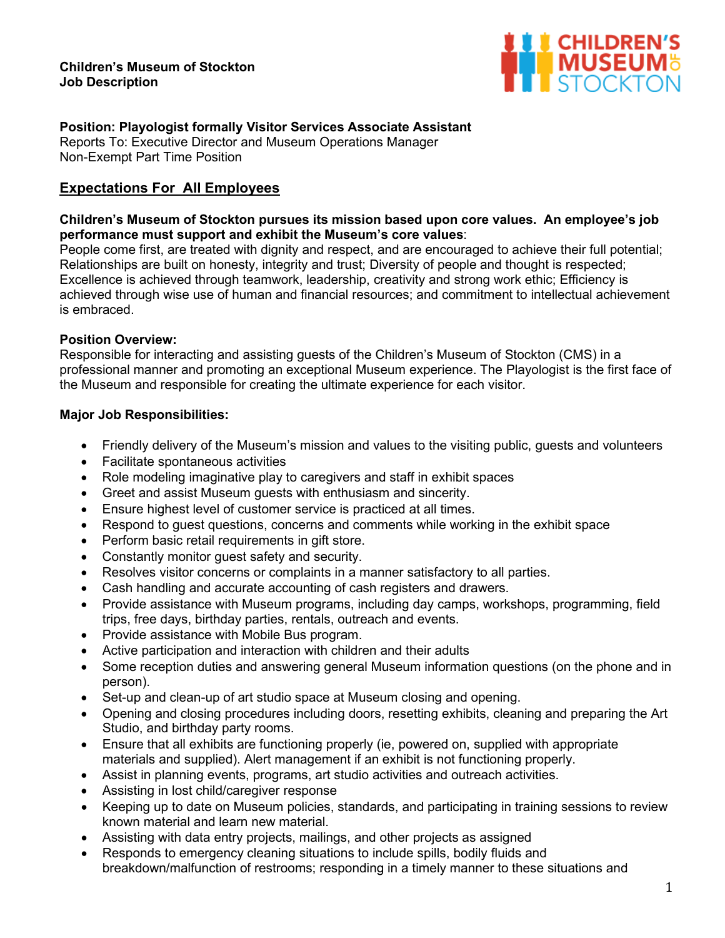#### **Children's Museum of Stockton Job Description**



## **Position: Playologist formally Visitor Services Associate Assistant**

Reports To: Executive Director and Museum Operations Manager Non-Exempt Part Time Position

## **Expectations For All Employees**

### **Children's Museum of Stockton pursues its mission based upon core values. An employee's job performance must support and exhibit the Museum's core values**:

People come first, are treated with dignity and respect, and are encouraged to achieve their full potential; Relationships are built on honesty, integrity and trust; Diversity of people and thought is respected; Excellence is achieved through teamwork, leadership, creativity and strong work ethic; Efficiency is achieved through wise use of human and financial resources; and commitment to intellectual achievement is embraced.

### **Position Overview:**

Responsible for interacting and assisting guests of the Children's Museum of Stockton (CMS) in a professional manner and promoting an exceptional Museum experience. The Playologist is the first face of the Museum and responsible for creating the ultimate experience for each visitor.

### **Major Job Responsibilities:**

- Friendly delivery of the Museum's mission and values to the visiting public, guests and volunteers
- Facilitate spontaneous activities
- Role modeling imaginative play to caregivers and staff in exhibit spaces
- Greet and assist Museum guests with enthusiasm and sincerity.
- Ensure highest level of customer service is practiced at all times.
- Respond to guest questions, concerns and comments while working in the exhibit space
- Perform basic retail requirements in gift store.
- Constantly monitor guest safety and security.
- Resolves visitor concerns or complaints in a manner satisfactory to all parties.
- Cash handling and accurate accounting of cash registers and drawers.
- Provide assistance with Museum programs, including day camps, workshops, programming, field trips, free days, birthday parties, rentals, outreach and events.
- Provide assistance with Mobile Bus program.
- Active participation and interaction with children and their adults
- Some reception duties and answering general Museum information questions (on the phone and in person).
- Set-up and clean-up of art studio space at Museum closing and opening.
- Opening and closing procedures including doors, resetting exhibits, cleaning and preparing the Art Studio, and birthday party rooms.
- Ensure that all exhibits are functioning properly (ie, powered on, supplied with appropriate materials and supplied). Alert management if an exhibit is not functioning properly.
- Assist in planning events, programs, art studio activities and outreach activities.
- Assisting in lost child/caregiver response
- Keeping up to date on Museum policies, standards, and participating in training sessions to review known material and learn new material.
- Assisting with data entry projects, mailings, and other projects as assigned
- Responds to emergency cleaning situations to include spills, bodily fluids and breakdown/malfunction of restrooms; responding in a timely manner to these situations and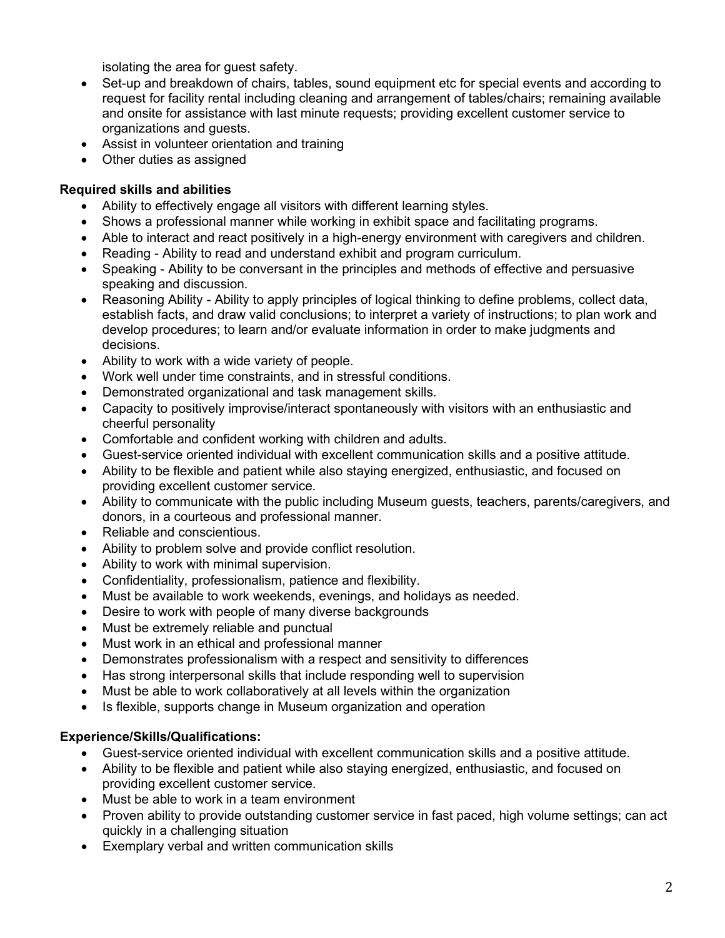isolating the area for guest safety.

- Set-up and breakdown of chairs, tables, sound equipment etc for special events and according to request for facility rental including cleaning and arrangement of tables/chairs; remaining available and onsite for assistance with last minute requests; providing excellent customer service to organizations and guests.
- Assist in volunteer orientation and training
- Other duties as assigned

# **Required skills and abilities**

- Ability to effectively engage all visitors with different learning styles.
- Shows a professional manner while working in exhibit space and facilitating programs.
- Able to interact and react positively in a high-energy environment with caregivers and children.
- Reading Ability to read and understand exhibit and program curriculum.
- Speaking Ability to be conversant in the principles and methods of effective and persuasive speaking and discussion.
- Reasoning Ability Ability to apply principles of logical thinking to define problems, collect data, establish facts, and draw valid conclusions; to interpret a variety of instructions; to plan work and develop procedures; to learn and/or evaluate information in order to make judgments and decisions.
- Ability to work with a wide variety of people.
- Work well under time constraints, and in stressful conditions.
- Demonstrated organizational and task management skills.
- Capacity to positively improvise/interact spontaneously with visitors with an enthusiastic and cheerful personality
- Comfortable and confident working with children and adults.
- Guest-service oriented individual with excellent communication skills and a positive attitude.
- Ability to be flexible and patient while also staying energized, enthusiastic, and focused on providing excellent customer service.
- Ability to communicate with the public including Museum guests, teachers, parents/caregivers, and donors, in a courteous and professional manner.
- Reliable and conscientious.
- Ability to problem solve and provide conflict resolution.
- Ability to work with minimal supervision.
- Confidentiality, professionalism, patience and flexibility.
- Must be available to work weekends, evenings, and holidays as needed.
- Desire to work with people of many diverse backgrounds
- Must be extremely reliable and punctual
- Must work in an ethical and professional manner
- Demonstrates professionalism with a respect and sensitivity to differences
- Has strong interpersonal skills that include responding well to supervision
- Must be able to work collaboratively at all levels within the organization
- Is flexible, supports change in Museum organization and operation

# **Experience/Skills/Qualifications:**

- Guest-service oriented individual with excellent communication skills and a positive attitude.
- Ability to be flexible and patient while also staying energized, enthusiastic, and focused on providing excellent customer service.
- Must be able to work in a team environment
- Proven ability to provide outstanding customer service in fast paced, high volume settings; can act quickly in a challenging situation
- Exemplary verbal and written communication skills